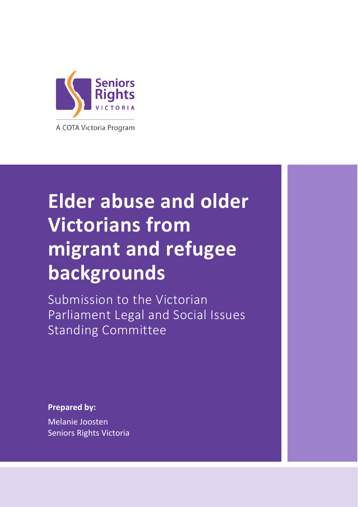

# **Elder abuse and older Victorians from migrant and refugee backgrounds**

Submission to the Victorian Parliament Legal and Social Issues Standing Committee

**Prepared by:**

**Prepared by:**

Melanie Joosten Seniors Rights Victoria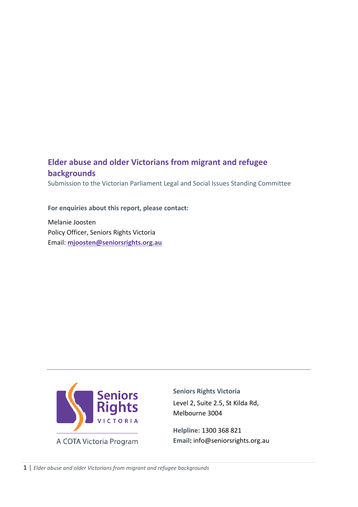#### **Elder abuse and older Victorians from migrant and refugee backgrounds**

Submission to the Victorian Parliament Legal and Social Issues Standing Committee

#### **For enquiries about this report, please contact:**

Melanie Joosten Policy Officer, Seniors Rights Victoria Email: **[mjoosten@seniorsrights.org.au](mailto:mjoosten@seniorsrights.org.au)**



**Seniors Rights Victoria** Level 2, Suite 2.5, St Kilda Rd, Melbourne 3004

**Helpline:** 1300 368 821 **Email:** info@seniorsrights.org.au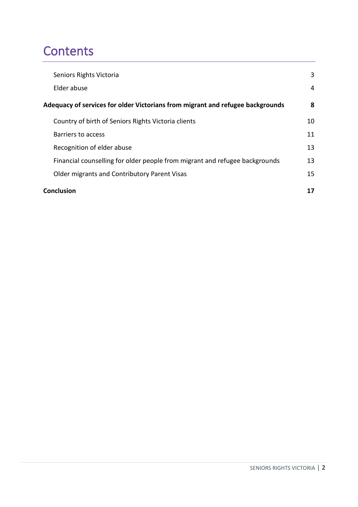# **Contents**

| Seniors Rights Victoria                                                        | 3  |
|--------------------------------------------------------------------------------|----|
| Elder abuse                                                                    | 4  |
| Adequacy of services for older Victorians from migrant and refugee backgrounds | 8  |
| Country of birth of Seniors Rights Victoria clients                            | 10 |
| Barriers to access                                                             | 11 |
| Recognition of elder abuse                                                     | 13 |
| Financial counselling for older people from migrant and refugee backgrounds    | 13 |
| Older migrants and Contributory Parent Visas                                   | 15 |
| Conclusion                                                                     | 17 |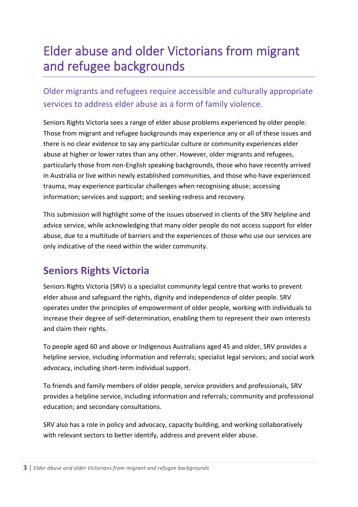# Elder abuse and older Victorians from migrant and refugee backgrounds

Older migrants and refugees require accessible and culturally appropriate services to address elder abuse as a form of family violence.

Seniors Rights Victoria sees a range of elder abuse problems experienced by older people. Those from migrant and refugee backgrounds may experience any or all of these issues and there is no clear evidence to say any particular culture or community experiences elder abuse at higher or lower rates than any other. However, older migrants and refugees, particularly those from non-English speaking backgrounds, those who have recently arrived in Australia or live within newly established communities, and those who have experienced trauma, may experience particular challenges when recognising abuse; accessing information; services and support; and seeking redress and recovery.

This submission will highlight some of the issues observed in clients of the SRV helpline and advice service, while acknowledging that many older people do not access support for elder abuse, due to a multitude of barriers and the experiences of those who use our services are only indicative of the need within the wider community.

# <span id="page-3-0"></span>**Seniors Rights Victoria**

Seniors Rights Victoria (SRV) is a specialist community legal centre that works to prevent elder abuse and safeguard the rights, dignity and independence of older people. SRV operates under the principles of empowerment of older people, working with individuals to increase their degree of self-determination, enabling them to represent their own interests and claim their rights.

To people aged 60 and above or Indigenous Australians aged 45 and older, SRV provides a helpline service, including information and referrals; specialist legal services; and social work advocacy, including short-term individual support.

To friends and family members of older people, service providers and professionals, SRV provides a helpline service, including information and referrals; community and professional education; and secondary consultations.

SRV also has a role in policy and advocacy, capacity building, and working collaboratively with relevant sectors to better identify, address and prevent elder abuse.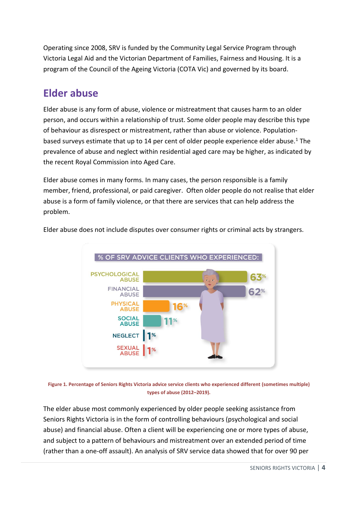Operating since 2008, SRV is funded by the Community Legal Service Program through Victoria Legal Aid and the Victorian Department of Families, Fairness and Housing. It is a program of the Council of the Ageing Victoria (COTA Vic) and governed by its board.

# <span id="page-4-0"></span>**Elder abuse**

Elder abuse is any form of abuse, violence or mistreatment that causes harm to an older person, and occurs within a relationship of trust. Some older people may describe this type of behaviour as disrespect or mistreatment, rather than abuse or violence. Populationbased surveys estimate that up to 14 per cent of older people experience elder abuse.<sup>1</sup> The prevalence of abuse and neglect within residential aged care may be higher, as indicated by the recent Royal Commission into Aged Care.

Elder abuse comes in many forms. In many cases, the person responsible is a family member, friend, professional, or paid caregiver.  Often older people do not realise that elder abuse is a form of family violence, or that there are services that can help address the problem.



Elder abuse does not include disputes over consumer rights or criminal acts by strangers.

**Figure 1. Percentage of Seniors Rights Victoria advice service clients who experienced different (sometimes multiple) types of abuse (2012–2019).**

The elder abuse most commonly experienced by older people seeking assistance from Seniors Rights Victoria is in the form of controlling behaviours (psychological and social abuse) and financial abuse. Often a client will be experiencing one or more types of abuse, and subject to a pattern of behaviours and mistreatment over an extended period of time (rather than a one-off assault). An analysis of SRV service data showed that for over 90 per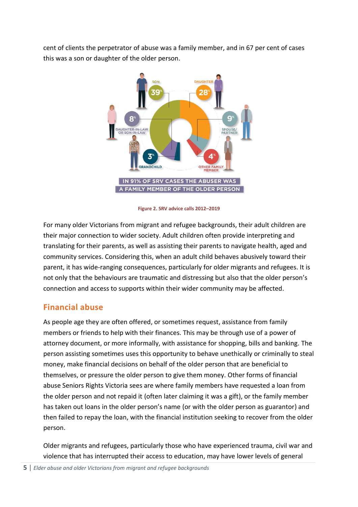cent of clients the perpetrator of abuse was a family member, and in 67 per cent of cases this was a son or daughter of the older person.



**Figure 2. SRV advice calls 2012–2019**

For many older Victorians from migrant and refugee backgrounds, their adult children are their major connection to wider society. Adult children often provide interpreting and translating for their parents, as well as assisting their parents to navigate health, aged and community services. Considering this, when an adult child behaves abusively toward their parent, it has wide-ranging consequences, particularly for older migrants and refugees. It is not only that the behaviours are traumatic and distressing but also that the older person's connection and access to supports within their wider community may be affected.

#### **Financial abuse**

As people age they are often offered, or sometimes request, assistance from family members or friends to help with their finances. This may be through use of a power of attorney document, or more informally, with assistance for shopping, bills and banking. The person assisting sometimes uses this opportunity to behave unethically or criminally to steal money, make financial decisions on behalf of the older person that are beneficial to themselves, or pressure the older person to give them money. Other forms of financial abuse Seniors Rights Victoria sees are where family members have requested a loan from the older person and not repaid it (often later claiming it was a gift), or the family member has taken out loans in the older person's name (or with the older person as guarantor) and then failed to repay the loan, with the financial institution seeking to recover from the older person.

Older migrants and refugees, particularly those who have experienced trauma, civil war and violence that has interrupted their access to education, may have lower levels of general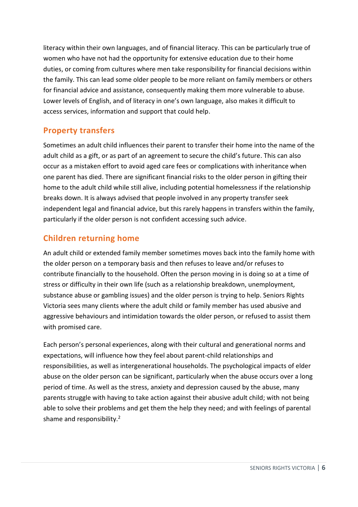literacy within their own languages, and of financial literacy. This can be particularly true of women who have not had the opportunity for extensive education due to their home duties, or coming from cultures where men take responsibility for financial decisions within the family. This can lead some older people to be more reliant on family members or others for financial advice and assistance, consequently making them more vulnerable to abuse. Lower levels of English, and of literacy in one's own language, also makes it difficult to access services, information and support that could help.

#### **Property transfers**

Sometimes an adult child influences their parent to transfer their home into the name of the adult child as a gift, or as part of an agreement to secure the child's future. This can also occur as a mistaken effort to avoid aged care fees or complications with inheritance when one parent has died. There are significant financial risks to the older person in gifting their home to the adult child while still alive, including potential homelessness if the relationship breaks down. It is always advised that people involved in any property transfer seek independent legal and financial advice, but this rarely happens in transfers within the family, particularly if the older person is not confident accessing such advice.

#### **Children returning home**

An adult child or extended family member sometimes moves back into the family home with the older person on a temporary basis and then refuses to leave and/or refuses to contribute financially to the household. Often the person moving in is doing so at a time of stress or difficulty in their own life (such as a relationship breakdown, unemployment, substance abuse or gambling issues) and the older person is trying to help. Seniors Rights Victoria sees many clients where the adult child or family member has used abusive and aggressive behaviours and intimidation towards the older person, or refused to assist them with promised care.

Each person's personal experiences, along with their cultural and generational norms and expectations, will influence how they feel about parent-child relationships and responsibilities, as well as intergenerational households. The psychological impacts of elder abuse on the older person can be significant, particularly when the abuse occurs over a long period of time. As well as the stress, anxiety and depression caused by the abuse, many parents struggle with having to take action against their abusive adult child; with not being able to solve their problems and get them the help they need; and with feelings of parental shame and responsibility.<sup>2</sup>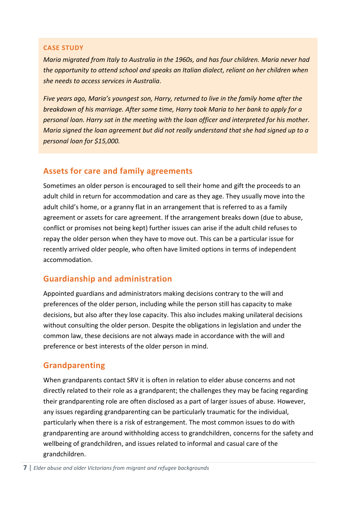#### **CASE STUDY**

*Maria migrated from Italy to Australia in the 1960s, and has four children. Maria never had the opportunity to attend school and speaks an Italian dialect, reliant on her children when she needs to access services in Australia.* 

*Five years ago, Maria's youngest son, Harry, returned to live in the family home after the breakdown of his marriage. After some time, Harry took Maria to her bank to apply for a personal loan. Harry sat in the meeting with the loan officer and interpreted for his mother. Maria signed the loan agreement but did not really understand that she had signed up to a personal loan for \$15,000.*

#### **Assets for care and family agreements**

Sometimes an older person is encouraged to sell their home and gift the proceeds to an adult child in return for accommodation and care as they age. They usually move into the adult child's home, or a granny flat in an arrangement that is referred to as a family agreement or assets for care agreement. If the arrangement breaks down (due to abuse, conflict or promises not being kept) further issues can arise if the adult child refuses to repay the older person when they have to move out. This can be a particular issue for recently arrived older people, who often have limited options in terms of independent accommodation.

#### **Guardianship and administration**

Appointed guardians and administrators making decisions contrary to the will and preferences of the older person, including while the person still has capacity to make decisions, but also after they lose capacity. This also includes making unilateral decisions without consulting the older person. Despite the obligations in legislation and under the common law, these decisions are not always made in accordance with the will and preference or best interests of the older person in mind.

#### **Grandparenting**

When grandparents contact SRV it is often in relation to elder abuse concerns and not directly related to their role as a grandparent; the challenges they may be facing regarding their grandparenting role are often disclosed as a part of larger issues of abuse. However, any issues regarding grandparenting can be particularly traumatic for the individual, particularly when there is a risk of estrangement. The most common issues to do with grandparenting are around withholding access to grandchildren, concerns for the safety and wellbeing of grandchildren, and issues related to informal and casual care of the grandchildren.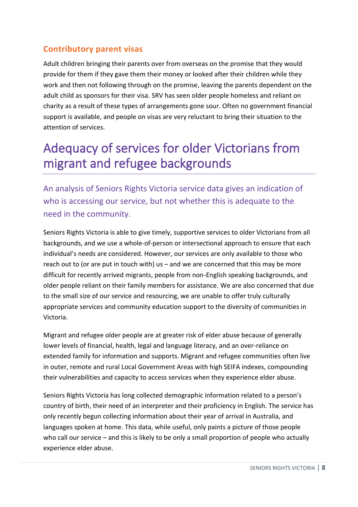#### **Contributory parent visas**

Adult children bringing their parents over from overseas on the promise that they would provide for them if they gave them their money or looked after their children while they work and then not following through on the promise, leaving the parents dependent on the adult child as sponsors for their visa. SRV has seen older people homeless and reliant on charity as a result of these types of arrangements gone sour. Often no government financial support is available, and people on visas are very reluctant to bring their situation to the attention of services.

# <span id="page-8-0"></span>Adequacy of services for older Victorians from migrant and refugee backgrounds

An analysis of Seniors Rights Victoria service data gives an indication of who is accessing our service, but not whether this is adequate to the need in the community.

Seniors Rights Victoria is able to give timely, supportive services to older Victorians from all backgrounds, and we use a whole-of-person or intersectional approach to ensure that each individual's needs are considered. However, our services are only available to those who reach out to (or are put in touch with) us – and we are concerned that this may be more difficult for recently arrived migrants, people from non-English speaking backgrounds, and older people reliant on their family members for assistance. We are also concerned that due to the small size of our service and resourcing, we are unable to offer truly culturally appropriate services and community education support to the diversity of communities in Victoria.

Migrant and refugee older people are at greater risk of elder abuse because of generally lower levels of financial, health, legal and language literacy, and an over-reliance on extended family for information and supports. Migrant and refugee communities often live in outer, remote and rural Local Government Areas with high SEIFA indexes, compounding their vulnerabilities and capacity to access services when they experience elder abuse.

Seniors Rights Victoria has long collected demographic information related to a person's country of birth, their need of an interpreter and their proficiency in English. The service has only recently begun collecting information about their year of arrival in Australia, and languages spoken at home. This data, while useful, only paints a picture of those people who call our service – and this is likely to be only a small proportion of people who actually experience elder abuse.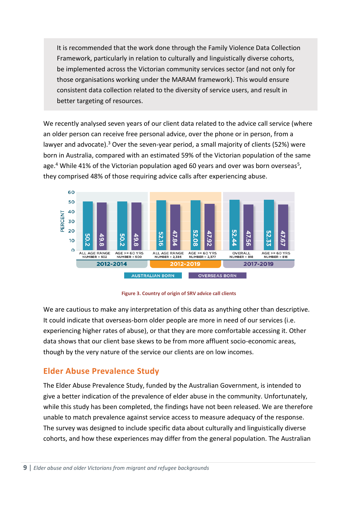It is recommended that the work done through the Family Violence Data Collection Framework, particularly in relation to culturally and linguistically diverse cohorts, be implemented across the Victorian community services sector (and not only for those organisations working under the MARAM framework). This would ensure consistent data collection related to the diversity of service users, and result in better targeting of resources.

We recently analysed seven years of our client data related to the advice call service (where an older person can receive free personal advice, over the phone or in person, from a lawyer and advocate).<sup>3</sup> Over the seven-year period, a small majority of clients (52%) were born in Australia, compared with an estimated 59% of the Victorian population of the same age.<sup>4</sup> While 41% of the Victorian population aged 60 years and over was born overseas<sup>5</sup>, they comprised 48% of those requiring advice calls after experiencing abuse.



**Figure 3. Country of origin of SRV advice call clients**

We are cautious to make any interpretation of this data as anything other than descriptive. It could indicate that overseas-born older people are more in need of our services (i.e. experiencing higher rates of abuse), or that they are more comfortable accessing it. Other data shows that our client base skews to be from more affluent socio-economic areas, though by the very nature of the service our clients are on low incomes.

#### **Elder Abuse Prevalence Study**

The Elder Abuse Prevalence Study, funded by the Australian Government, is intended to give a better indication of the prevalence of elder abuse in the community. Unfortunately, while this study has been completed, the findings have not been released. We are therefore unable to match prevalence against service access to measure adequacy of the response. The survey was designed to include specific data about culturally and linguistically diverse cohorts, and how these experiences may differ from the general population. The Australian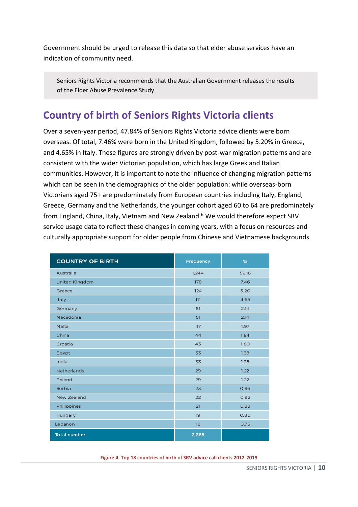Government should be urged to release this data so that elder abuse services have an indication of community need.

Seniors Rights Victoria recommends that the Australian Government releases the results of the Elder Abuse Prevalence Study.

### <span id="page-10-0"></span>**Country of birth of Seniors Rights Victoria clients**

Over a seven-year period, 47.84% of Seniors Rights Victoria advice clients were born overseas. Of total, 7.46% were born in the United Kingdom, followed by 5.20% in Greece, and 4.65% in Italy. These figures are strongly driven by post-war migration patterns and are consistent with the wider Victorian population, which has large Greek and Italian communities. However, it is important to note the influence of changing migration patterns which can be seen in the demographics of the older population: while overseas-born Victorians aged 75+ are predominately from European countries including Italy, England, Greece, Germany and the Netherlands, the younger cohort aged 60 to 64 are predominately from England, China, Italy, Vietnam and New Zealand.<sup>6</sup> We would therefore expect SRV service usage data to reflect these changes in coming years, with a focus on resources and culturally appropriate support for older people from Chinese and Vietnamese backgrounds.

| <b>COUNTRY OF BIRTH</b> | <b>Frequency</b> | %     |
|-------------------------|------------------|-------|
| Australia               | 1,244            | 52.16 |
| <b>United Kingdom</b>   | 178              | 7.46  |
| Greece                  | 124              | 5.20  |
| Italy                   | 111              | 4.65  |
| Germany                 | 51               | 2.14  |
| Macedonia               | 51               | 2.14  |
| Malta                   | 47               | 1.97  |
| China                   | 44               | 1.84  |
| Croatia                 | 43               | 1.80  |
| Egypt                   | 33               | 1.38  |
| India                   | 33               | 1.38  |
| <b>Netherlands</b>      | 29               | 1.22  |
| Poland                  | 29               | 1.22  |
| Serbia                  | 23               | 0.96  |
| New Zealand             | 22               | 0.92  |
| Philippines             | 21               | 0.88  |
| Hungary                 | 19               | 0.80  |
| Lebanon                 | 18               | 0.75  |
| <b>Total number</b>     | 2,385            |       |

**Figure 4. Top 18 countries of birth of SRV advice call clients 2012-2019**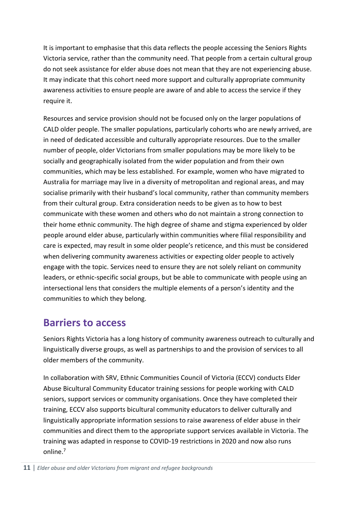It is important to emphasise that this data reflects the people accessing the Seniors Rights Victoria service, rather than the community need. That people from a certain cultural group do not seek assistance for elder abuse does not mean that they are not experiencing abuse. It may indicate that this cohort need more support and culturally appropriate community awareness activities to ensure people are aware of and able to access the service if they require it.

Resources and service provision should not be focused only on the larger populations of CALD older people. The smaller populations, particularly cohorts who are newly arrived, are in need of dedicated accessible and culturally appropriate resources. Due to the smaller number of people, older Victorians from smaller populations may be more likely to be socially and geographically isolated from the wider population and from their own communities, which may be less established. For example, women who have migrated to Australia for marriage may live in a diversity of metropolitan and regional areas, and may socialise primarily with their husband's local community, rather than community members from their cultural group. Extra consideration needs to be given as to how to best communicate with these women and others who do not maintain a strong connection to their home ethnic community. The high degree of shame and stigma experienced by older people around elder abuse, particularly within communities where filial responsibility and care is expected, may result in some older people's reticence, and this must be considered when delivering community awareness activities or expecting older people to actively engage with the topic. Services need to ensure they are not solely reliant on community leaders, or ethnic-specific social groups, but be able to communicate with people using an intersectional lens that considers the multiple elements of a person's identity and the communities to which they belong.

### <span id="page-11-0"></span>**Barriers to access**

Seniors Rights Victoria has a long history of community awareness outreach to culturally and linguistically diverse groups, as well as partnerships to and the provision of services to all older members of the community.

In collaboration with SRV, Ethnic Communities Council of Victoria (ECCV) conducts Elder Abuse Bicultural Community Educator training sessions for people working with CALD seniors, support services or community organisations. Once they have completed their training, ECCV also supports bicultural community educators to deliver culturally and linguistically appropriate information sessions to raise awareness of elder abuse in their communities and direct them to the appropriate support services available in Victoria. The training was adapted in response to COVID-19 restrictions in 2020 and now also runs online.7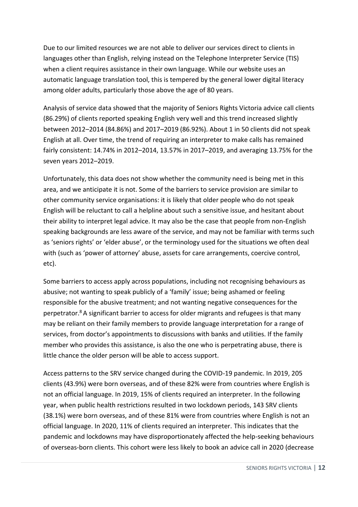Due to our limited resources we are not able to deliver our services direct to clients in languages other than English, relying instead on the Telephone Interpreter Service (TIS) when a client requires assistance in their own language. While our website uses an automatic language translation tool, this is tempered by the general lower digital literacy among older adults, particularly those above the age of 80 years.

Analysis of service data showed that the majority of Seniors Rights Victoria advice call clients (86.29%) of clients reported speaking English very well and this trend increased slightly between 2012–2014 (84.86%) and 2017–2019 (86.92%). About 1 in 50 clients did not speak English at all. Over time, the trend of requiring an interpreter to make calls has remained fairly consistent: 14.74% in 2012–2014, 13.57% in 2017–2019, and averaging 13.75% for the seven years 2012–2019.

Unfortunately, this data does not show whether the community need is being met in this area, and we anticipate it is not. Some of the barriers to service provision are similar to other community service organisations: it is likely that older people who do not speak English will be reluctant to call a helpline about such a sensitive issue, and hesitant about their ability to interpret legal advice. It may also be the case that people from non-English speaking backgrounds are less aware of the service, and may not be familiar with terms such as 'seniors rights' or 'elder abuse', or the terminology used for the situations we often deal with (such as 'power of attorney' abuse, assets for care arrangements, coercive control, etc).

Some barriers to access apply across populations, including not recognising behaviours as abusive; not wanting to speak publicly of a 'family' issue; being ashamed or feeling responsible for the abusive treatment; and not wanting negative consequences for the perpetrator. $8$  A significant barrier to access for older migrants and refugees is that many may be reliant on their family members to provide language interpretation for a range of services, from doctor's appointments to discussions with banks and utilities. If the family member who provides this assistance, is also the one who is perpetrating abuse, there is little chance the older person will be able to access support.

Access patterns to the SRV service changed during the COVID-19 pandemic. In 2019, 205 clients (43.9%) were born overseas, and of these 82% were from countries where English is not an official language. In 2019, 15% of clients required an interpreter. In the following year, when public health restrictions resulted in two lockdown periods, 143 SRV clients (38.1%) were born overseas, and of these 81% were from countries where English is not an official language. In 2020, 11% of clients required an interpreter. This indicates that the pandemic and lockdowns may have disproportionately affected the help-seeking behaviours of overseas-born clients. This cohort were less likely to book an advice call in 2020 (decrease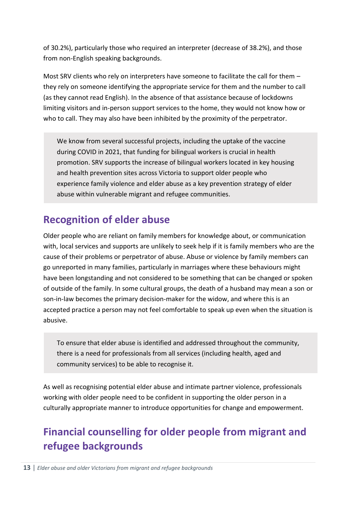of 30.2%), particularly those who required an interpreter (decrease of 38.2%), and those from non-English speaking backgrounds.

Most SRV clients who rely on interpreters have someone to facilitate the call for them – they rely on someone identifying the appropriate service for them and the number to call (as they cannot read English). In the absence of that assistance because of lockdowns limiting visitors and in-person support services to the home, they would not know how or who to call. They may also have been inhibited by the proximity of the perpetrator.

We know from several successful projects, including the uptake of the vaccine during COVID in 2021, that funding for bilingual workers is crucial in health promotion. SRV supports the increase of bilingual workers located in key housing and health prevention sites across Victoria to support older people who experience family violence and elder abuse as a key prevention strategy of elder abuse within vulnerable migrant and refugee communities.

# <span id="page-13-0"></span>**Recognition of elder abuse**

Older people who are reliant on family members for knowledge about, or communication with, local services and supports are unlikely to seek help if it is family members who are the cause of their problems or perpetrator of abuse. Abuse or violence by family members can go unreported in many families, particularly in marriages where these behaviours might have been longstanding and not considered to be something that can be changed or spoken of outside of the family. In some cultural groups, the death of a husband may mean a son or son-in-law becomes the primary decision-maker for the widow, and where this is an accepted practice a person may not feel comfortable to speak up even when the situation is abusive.

To ensure that elder abuse is identified and addressed throughout the community, there is a need for professionals from all services (including health, aged and community services) to be able to recognise it.

As well as recognising potential elder abuse and intimate partner violence, professionals working with older people need to be confident in supporting the older person in a culturally appropriate manner to introduce opportunities for change and empowerment.

# <span id="page-13-1"></span>**Financial counselling for older people from migrant and refugee backgrounds**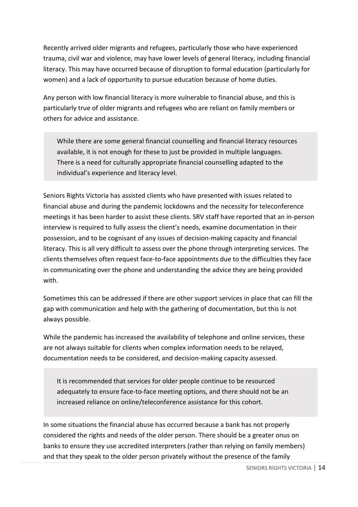Recently arrived older migrants and refugees, particularly those who have experienced trauma, civil war and violence, may have lower levels of general literacy, including financial literacy. This may have occurred because of disruption to formal education (particularly for women) and a lack of opportunity to pursue education because of home duties.

Any person with low financial literacy is more vulnerable to financial abuse, and this is particularly true of older migrants and refugees who are reliant on family members or others for advice and assistance.

While there are some general financial counselling and financial literacy resources available, it is not enough for these to just be provided in multiple languages. There is a need for culturally appropriate financial counselling adapted to the individual's experience and literacy level.

Seniors Rights Victoria has assisted clients who have presented with issues related to financial abuse and during the pandemic lockdowns and the necessity for teleconference meetings it has been harder to assist these clients. SRV staff have reported that an in-person interview is required to fully assess the client's needs, examine documentation in their possession, and to be cognisant of any issues of decision-making capacity and financial literacy. This is all very difficult to assess over the phone through interpreting services. The clients themselves often request face-to-face appointments due to the difficulties they face in communicating over the phone and understanding the advice they are being provided with.

Sometimes this can be addressed if there are other support services in place that can fill the gap with communication and help with the gathering of documentation, but this is not always possible.

While the pandemic has increased the availability of telephone and online services, these are not always suitable for clients when complex information needs to be relayed, documentation needs to be considered, and decision-making capacity assessed.

It is recommended that services for older people continue to be resourced adequately to ensure face-to-face meeting options, and there should not be an increased reliance on online/teleconference assistance for this cohort.

In some situations the financial abuse has occurred because a bank has not properly considered the rights and needs of the older person. There should be a greater onus on banks to ensure they use accredited interpreters (rather than relying on family members) and that they speak to the older person privately without the presence of the family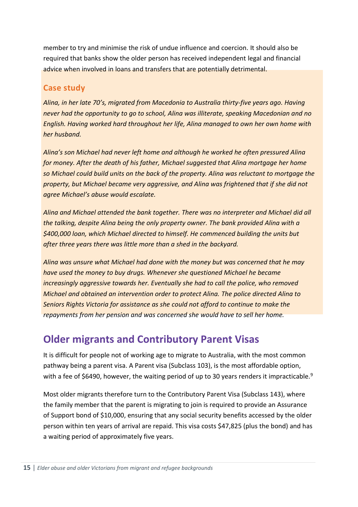member to try and minimise the risk of undue influence and coercion. It should also be required that banks show the older person has received independent legal and financial advice when involved in loans and transfers that are potentially detrimental.

#### **Case study**

*Alina, in her late 70's, migrated from Macedonia to Australia thirty-five years ago. Having never had the opportunity to go to school, Alina was illiterate, speaking Macedonian and no English. Having worked hard throughout her life, Alina managed to own her own home with her husband.*

*Alina's son Michael had never left home and although he worked he often pressured Alina for money. After the death of his father, Michael suggested that Alina mortgage her home so Michael could build units on the back of the property. Alina was reluctant to mortgage the property, but Michael became very aggressive, and Alina was frightened that if she did not agree Michael's abuse would escalate.* 

*Alina and Michael attended the bank together. There was no interpreter and Michael did all the talking, despite Alina being the only property owner. The bank provided Alina with a \$400,000 loan, which Michael directed to himself. He commenced building the units but after three years there was little more than a shed in the backyard.* 

*Alina was unsure what Michael had done with the money but was concerned that he may have used the money to buy drugs. Whenever she questioned Michael he became increasingly aggressive towards her. Eventually she had to call the police, who removed Michael and obtained an intervention order to protect Alina. The police directed Alina to Seniors Rights Victoria for assistance as she could not afford to continue to make the repayments from her pension and was concerned she would have to sell her home.*

# <span id="page-15-0"></span>**Older migrants and Contributory Parent Visas**

It is difficult for people not of working age to migrate to Australia, with the most common pathway being a parent visa. A Parent visa (Subclass 103), is the most affordable option, with a fee of \$6490, however, the waiting period of up to 30 years renders it impracticable.<sup>9</sup>

Most older migrants therefore turn to the Contributory Parent Visa (Subclass 143), where the family member that the parent is migrating to join is required to provide an Assurance of Support bond of \$10,000, ensuring that any social security benefits accessed by the older person within ten years of arrival are repaid. This visa costs \$47,825 (plus the bond) and has a waiting period of approximately five years.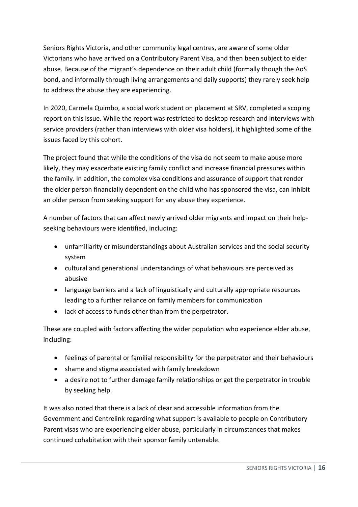Seniors Rights Victoria, and other community legal centres, are aware of some older Victorians who have arrived on a Contributory Parent Visa, and then been subject to elder abuse. Because of the migrant's dependence on their adult child (formally though the AoS bond, and informally through living arrangements and daily supports) they rarely seek help to address the abuse they are experiencing.

In 2020, Carmela Quimbo, a social work student on placement at SRV, completed a scoping report on this issue. While the report was restricted to desktop research and interviews with service providers (rather than interviews with older visa holders), it highlighted some of the issues faced by this cohort.

The project found that while the conditions of the visa do not seem to make abuse more likely, they may exacerbate existing family conflict and increase financial pressures within the family. In addition, the complex visa conditions and assurance of support that render the older person financially dependent on the child who has sponsored the visa, can inhibit an older person from seeking support for any abuse they experience.

A number of factors that can affect newly arrived older migrants and impact on their helpseeking behaviours were identified, including:

- unfamiliarity or misunderstandings about Australian services and the social security system
- cultural and generational understandings of what behaviours are perceived as abusive
- language barriers and a lack of linguistically and culturally appropriate resources leading to a further reliance on family members for communication
- lack of access to funds other than from the perpetrator.

These are coupled with factors affecting the wider population who experience elder abuse, including:

- feelings of parental or familial responsibility for the perpetrator and their behaviours
- shame and stigma associated with family breakdown
- a desire not to further damage family relationships or get the perpetrator in trouble by seeking help.

It was also noted that there is a lack of clear and accessible information from the Government and Centrelink regarding what support is available to people on Contributory Parent visas who are experiencing elder abuse, particularly in circumstances that makes continued cohabitation with their sponsor family untenable.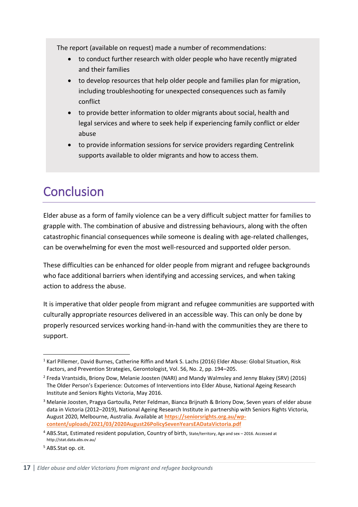The report (available on request) made a number of recommendations:

- to conduct further research with older people who have recently migrated and their families
- to develop resources that help older people and families plan for migration, including troubleshooting for unexpected consequences such as family conflict
- to provide better information to older migrants about social, health and legal services and where to seek help if experiencing family conflict or elder abuse
- to provide information sessions for service providers regarding Centrelink supports available to older migrants and how to access them.

# <span id="page-17-0"></span>**Conclusion**

Elder abuse as a form of family violence can be a very difficult subject matter for families to grapple with. The combination of abusive and distressing behaviours, along with the often catastrophic financial consequences while someone is dealing with age-related challenges, can be overwhelming for even the most well-resourced and supported older person.

These difficulties can be enhanced for older people from migrant and refugee backgrounds who face additional barriers when identifying and accessing services, and when taking action to address the abuse.

It is imperative that older people from migrant and refugee communities are supported with culturally appropriate resources delivered in an accessible way. This can only be done by properly resourced services working hand-in-hand with the communities they are there to support.

<sup>1</sup> Karl Pillemer, David Burnes, Catherine Riffin and Mark S. Lachs (2016) Elder Abuse: Global Situation, Risk Factors, and Prevention Strategies, Gerontologist, Vol. 56, No. 2, pp. 194–205.

<sup>&</sup>lt;sup>2</sup> Freda Vrantsidis, Briony Dow, Melanie Joosten (NARI) and Mandy Walmsley and Jenny Blakey (SRV) (2016) The Older Person's Experience: Outcomes of Interventions into Elder Abuse, National Ageing Research Institute and Seniors Rights Victoria, May 2016.

<sup>3</sup> Melanie Joosten, Pragya Gartoulla, Peter Feldman, Bianca Brijnath & Briony Dow, Seven years of elder abuse data in Victoria (2012–2019), National Ageing Research Institute in partnership with Seniors Rights Victoria, August 2020, Melbourne, Australia. Available at **[https://seniorsrights.org.au/wp](https://seniorsrights.org.au/wp-content/uploads/2021/03/2020August26PolicySevenYearsEADataVictoria.pdf)[content/uploads/2021/03/2020August26PolicySevenYearsEADataVictoria.pdf](https://seniorsrights.org.au/wp-content/uploads/2021/03/2020August26PolicySevenYearsEADataVictoria.pdf)**

<sup>4</sup> ABS.Stat, Estimated resident population, Country of birth, State/territory, Age and sex – 2016. Accessed at http://stat.data.abs.ov.au/

<sup>5</sup> ABS.Stat op. cit.